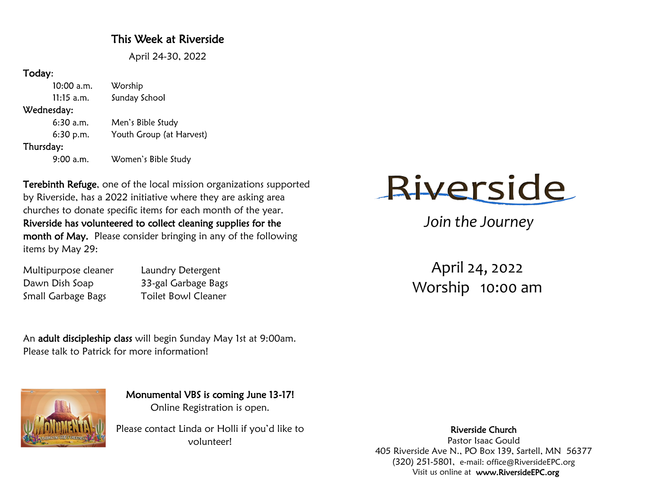### This Week at Riverside

April 24-30, 2022

#### Today:

 $10:00$  a.m. Worship Sunday School  $11:15$  a.m. Wednesday:  $6:30$  a.m. Men's Bible Study Youth Group (at Harvest)  $6:30 p.m.$ Thursday: Women's Bible Study  $9:00$  a.m.

Terebinth Refuge, one of the local mission organizations supported by Riverside, has a 2022 initiative where they are asking area churches to donate specific items for each month of the year. Riverside has volunteered to collect cleaning supplies for the month of May. Please consider bringing in any of the following items by May 29:

| Multipurpose cleaner | Laundry Detergent          |
|----------------------|----------------------------|
| Dawn Dish Soap       | 33-gal Garbage Bags        |
| Small Garbage Bags   | <b>Toilet Bowl Cleaner</b> |

An adult discipleship class will begin Sunday May 1st at 9:00am. Please talk to Patrick for more information!



Monumental VBS is coming June 13-17! Online Registration is open.

Please contact Linda or Holli if you'd like to volunteer!



*Join the Journey*

April 24, 2022 Worship 10:00 am

Riverside Church Pastor Isaac Gould 405 Riverside Ave N., PO Box 139, Sartell, MN 56377 (320) 251-5801, e-mail: office@RiversideEPC.org Visit us online at www.RiversideEPC.org